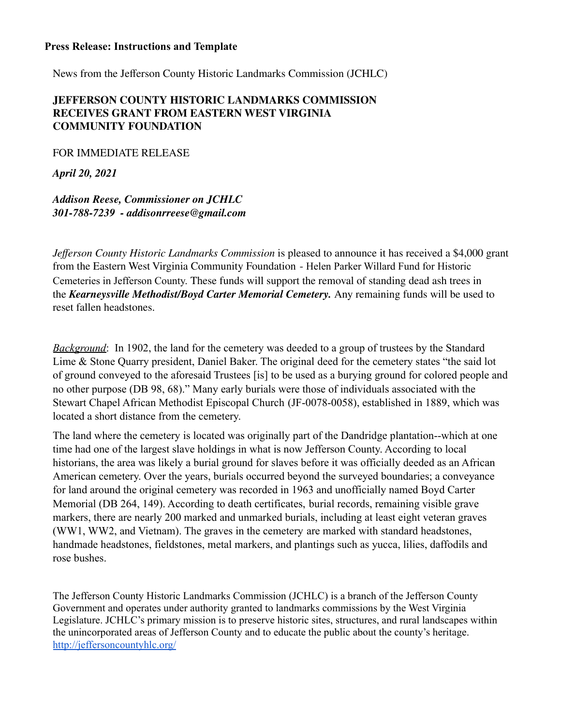## **Press Release: Instructions and Template**

News from the Jefferson County Historic Landmarks Commission (JCHLC)

## **JEFFERSON COUNTY HISTORIC LANDMARKS COMMISSION RECEIVES GRANT FROM EASTERN WEST VIRGINIA COMMUNITY FOUNDATION**

FOR IMMEDIATE RELEASE

*April 20, 2021*

## *Addison Reese, Commissioner on JCHLC 301-788-7239 - addisonrreese@gmail.com*

*Jefferson County Historic Landmarks Commission* is pleased to announce it has received a \$4,000 grant from the Eastern West Virginia Community Foundation - Helen Parker Willard Fund for Historic Cemeteries in Jefferson County. These funds will support the removal of standing dead ash trees in the *Kearneysville Methodist/Boyd Carter Memorial Cemetery.* Any remaining funds will be used to reset fallen headstones.

*Background*: In 1902, the land for the cemetery was deeded to a group of trustees by the Standard Lime & Stone Quarry president, Daniel Baker. The original deed for the cemetery states "the said lot of ground conveyed to the aforesaid Trustees [is] to be used as a burying ground for colored people and no other purpose (DB 98, 68)." Many early burials were those of individuals associated with the Stewart Chapel African Methodist Episcopal Church (JF-0078-0058), established in 1889, which was located a short distance from the cemetery.

The land where the cemetery is located was originally part of the Dandridge plantation--which at one time had one of the largest slave holdings in what is now Jefferson County. According to local historians, the area was likely a burial ground for slaves before it was officially deeded as an African American cemetery. Over the years, burials occurred beyond the surveyed boundaries; a conveyance for land around the original cemetery was recorded in 1963 and unofficially named Boyd Carter Memorial (DB 264, 149). According to death certificates, burial records, remaining visible grave markers, there are nearly 200 marked and unmarked burials, including at least eight veteran graves (WW1, WW2, and Vietnam). The graves in the cemetery are marked with standard headstones, handmade headstones, fieldstones, metal markers, and plantings such as yucca, lilies, daffodils and rose bushes.

The Jefferson County Historic Landmarks Commission (JCHLC) is a branch of the Jefferson County Government and operates under authority granted to landmarks commissions by the West Virginia Legislature. JCHLC's primary mission is to preserve historic sites, structures, and rural landscapes within the unincorporated areas of Jefferson County and to educate the public about the county's heritage. <http://jeffersoncountyhlc.org/>